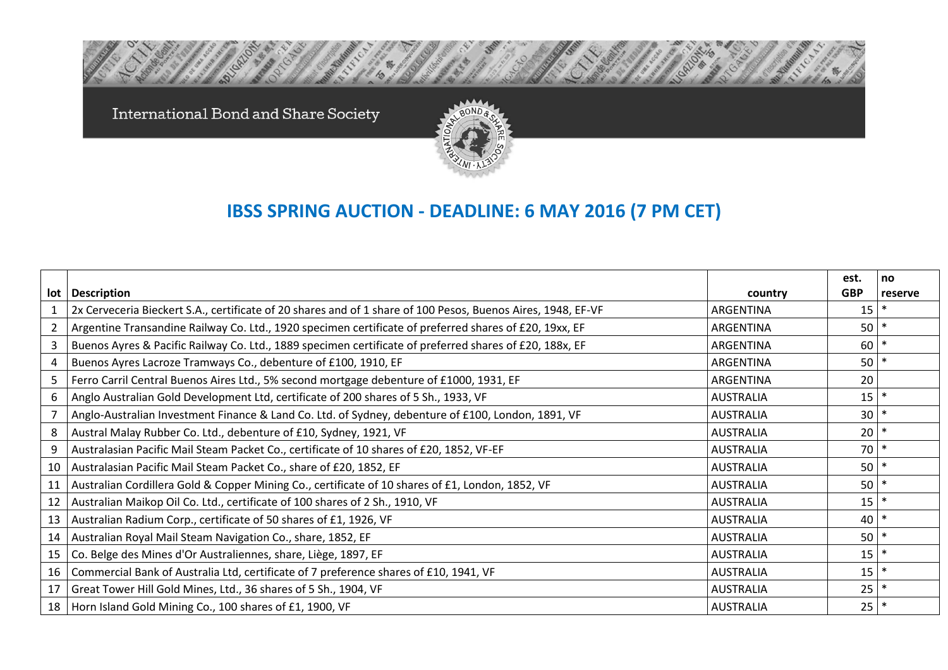International Bond and Share Society



## **IBSS SPRING AUCTION - DEADLINE: 6 MAY 2016 (7 PM CET)**

|     |                                                                                                              |                  | est.       | no      |
|-----|--------------------------------------------------------------------------------------------------------------|------------------|------------|---------|
| lot | <b>Description</b>                                                                                           | country          | <b>GBP</b> | reserve |
|     | 2x Cerveceria Bieckert S.A., certificate of 20 shares and of 1 share of 100 Pesos, Buenos Aires, 1948, EF-VF | ARGENTINA        | 15         | $\ast$  |
|     | Argentine Transandine Railway Co. Ltd., 1920 specimen certificate of preferred shares of £20, 19xx, EF       | ARGENTINA        | $50$ $*$   |         |
| 3   | Buenos Ayres & Pacific Railway Co. Ltd., 1889 specimen certificate of preferred shares of £20, 188x, EF      | ARGENTINA        | 60         | $\ast$  |
| 4   | Buenos Ayres Lacroze Tramways Co., debenture of £100, 1910, EF                                               | ARGENTINA        | $50$ $*$   |         |
| 5   | Ferro Carril Central Buenos Aires Ltd., 5% second mortgage debenture of £1000, 1931, EF                      | ARGENTINA        | 20         |         |
| 6   | Anglo Australian Gold Development Ltd, certificate of 200 shares of 5 Sh., 1933, VF                          | <b>AUSTRALIA</b> | 15         | $\ast$  |
|     | Anglo-Australian Investment Finance & Land Co. Ltd. of Sydney, debenture of £100, London, 1891, VF           | <b>AUSTRALIA</b> | 30         | $\ast$  |
| 8   | Austral Malay Rubber Co. Ltd., debenture of £10, Sydney, 1921, VF                                            | <b>AUSTRALIA</b> | 20         | $\ast$  |
| 9   | Australasian Pacific Mail Steam Packet Co., certificate of 10 shares of £20, 1852, VF-EF                     | <b>AUSTRALIA</b> | 70         | $\ast$  |
| 10  | Australasian Pacific Mail Steam Packet Co., share of £20, 1852, EF                                           | <b>AUSTRALIA</b> | $50$ $*$   |         |
| 11  | Australian Cordillera Gold & Copper Mining Co., certificate of 10 shares of £1, London, 1852, VF             | <b>AUSTRALIA</b> | $50$ $*$   |         |
| 12  | Australian Maikop Oil Co. Ltd., certificate of 100 shares of 2 Sh., 1910, VF                                 | <b>AUSTRALIA</b> | $15$ $*$   |         |
| 13  | Australian Radium Corp., certificate of 50 shares of £1, 1926, VF                                            | <b>AUSTRALIA</b> | 40         | $\ast$  |
| 14  | Australian Royal Mail Steam Navigation Co., share, 1852, EF                                                  | <b>AUSTRALIA</b> | $50$ $*$   |         |
| 15  | Co. Belge des Mines d'Or Australiennes, share, Liège, 1897, EF                                               | <b>AUSTRALIA</b> | 15         | $\ast$  |
| 16  | Commercial Bank of Australia Ltd, certificate of 7 preference shares of £10, 1941, VF                        | <b>AUSTRALIA</b> | 15         | $\ast$  |
| 17  | Great Tower Hill Gold Mines, Ltd., 36 shares of 5 Sh., 1904, VF                                              | <b>AUSTRALIA</b> | 25         | $\ast$  |
|     | 18   Horn Island Gold Mining Co., 100 shares of £1, 1900, VF                                                 | <b>AUSTRALIA</b> | $25$ $*$   |         |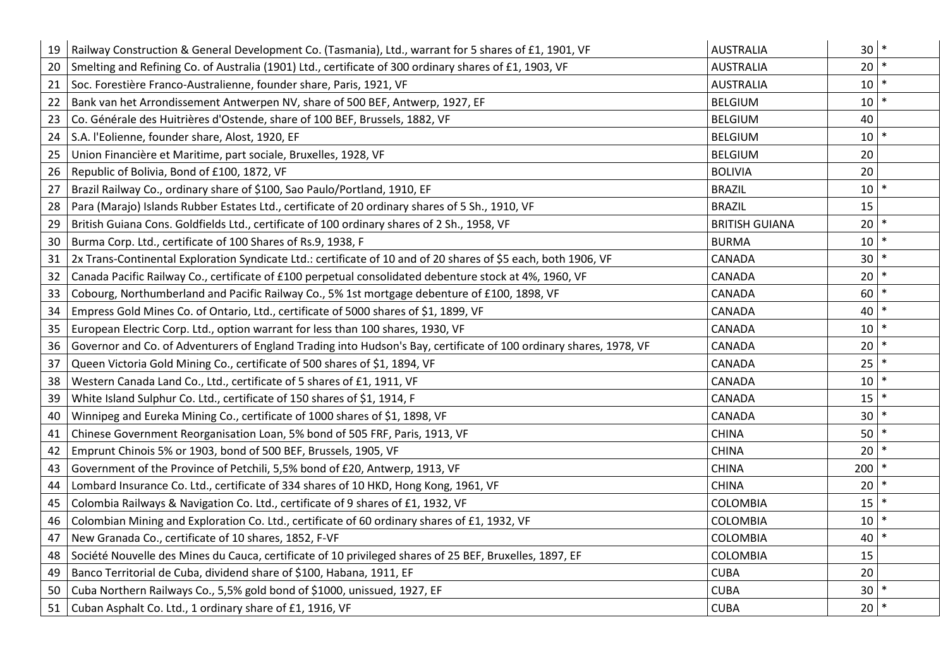| 19 | Railway Construction & General Development Co. (Tasmania), Ltd., warrant for 5 shares of £1, 1901, VF              | <b>AUSTRALIA</b>      | 30 <sub>1</sub> | $\ast$ |
|----|--------------------------------------------------------------------------------------------------------------------|-----------------------|-----------------|--------|
| 20 | Smelting and Refining Co. of Australia (1901) Ltd., certificate of 300 ordinary shares of £1, 1903, VF             | <b>AUSTRALIA</b>      | 20              | $\ast$ |
| 21 | Soc. Forestière Franco-Australienne, founder share, Paris, 1921, VF                                                | <b>AUSTRALIA</b>      | 10 <sup>1</sup> | $\ast$ |
| 22 | Bank van het Arrondissement Antwerpen NV, share of 500 BEF, Antwerp, 1927, EF                                      | <b>BELGIUM</b>        | 10              |        |
| 23 | Co. Générale des Huitrières d'Ostende, share of 100 BEF, Brussels, 1882, VF                                        | <b>BELGIUM</b>        | 40              |        |
| 24 | S.A. l'Eolienne, founder share, Alost, 1920, EF                                                                    | <b>BELGIUM</b>        | 10 <sup>1</sup> |        |
| 25 | Union Financière et Maritime, part sociale, Bruxelles, 1928, VF                                                    | <b>BELGIUM</b>        | 20              |        |
| 26 | Republic of Bolivia, Bond of £100, 1872, VF                                                                        | <b>BOLIVIA</b>        | 20              |        |
| 27 | Brazil Railway Co., ordinary share of \$100, Sao Paulo/Portland, 1910, EF                                          | <b>BRAZIL</b>         | 10 <sup>1</sup> | $\ast$ |
| 28 | Para (Marajo) Islands Rubber Estates Ltd., certificate of 20 ordinary shares of 5 Sh., 1910, VF                    | <b>BRAZIL</b>         | 15              |        |
| 29 | British Guiana Cons. Goldfields Ltd., certificate of 100 ordinary shares of 2 Sh., 1958, VF                        | <b>BRITISH GUIANA</b> | 20 <sub>1</sub> | $\ast$ |
| 30 | Burma Corp. Ltd., certificate of 100 Shares of Rs.9, 1938, F                                                       | <b>BURMA</b>          | 10              |        |
| 31 | 2x Trans-Continental Exploration Syndicate Ltd.: certificate of 10 and of 20 shares of \$5 each, both 1906, VF     | CANADA                | 30              |        |
| 32 | Canada Pacific Railway Co., certificate of £100 perpetual consolidated debenture stock at 4%, 1960, VF             | CANADA                | 20              |        |
| 33 | Cobourg, Northumberland and Pacific Railway Co., 5% 1st mortgage debenture of £100, 1898, VF                       | CANADA                | 60              | $\ast$ |
| 34 | Empress Gold Mines Co. of Ontario, Ltd., certificate of 5000 shares of \$1, 1899, VF                               | <b>CANADA</b>         | 40              |        |
| 35 | European Electric Corp. Ltd., option warrant for less than 100 shares, 1930, VF                                    | CANADA                | 10 <sup>1</sup> | $\ast$ |
| 36 | Governor and Co. of Adventurers of England Trading into Hudson's Bay, certificate of 100 ordinary shares, 1978, VF | <b>CANADA</b>         | 20              |        |
| 37 | Queen Victoria Gold Mining Co., certificate of 500 shares of \$1, 1894, VF                                         | CANADA                | 25              | $\ast$ |
| 38 | Western Canada Land Co., Ltd., certificate of 5 shares of £1, 1911, VF                                             | CANADA                | 10              |        |
| 39 | White Island Sulphur Co. Ltd., certificate of 150 shares of \$1, 1914, F                                           | CANADA                | 15              |        |
| 40 | Winnipeg and Eureka Mining Co., certificate of 1000 shares of \$1, 1898, VF                                        | CANADA                | 30              |        |
| 41 | Chinese Government Reorganisation Loan, 5% bond of 505 FRF, Paris, 1913, VF                                        | <b>CHINA</b>          | 50              |        |
| 42 | Emprunt Chinois 5% or 1903, bond of 500 BEF, Brussels, 1905, VF                                                    | <b>CHINA</b>          | 20              |        |
| 43 | Government of the Province of Petchili, 5,5% bond of £20, Antwerp, 1913, VF                                        | <b>CHINA</b>          | 200             | $\ast$ |
| 44 | Lombard Insurance Co. Ltd., certificate of 334 shares of 10 HKD, Hong Kong, 1961, VF                               | <b>CHINA</b>          | 20 <sup>1</sup> | $\ast$ |
| 45 | Colombia Railways & Navigation Co. Ltd., certificate of 9 shares of £1, 1932, VF                                   | <b>COLOMBIA</b>       | 15              |        |
| 46 | Colombian Mining and Exploration Co. Ltd., certificate of 60 ordinary shares of £1, 1932, VF                       | COLOMBIA              | 10              |        |
| 47 | New Granada Co., certificate of 10 shares, 1852, F-VF                                                              | <b>COLOMBIA</b>       | 40              |        |
| 48 | Société Nouvelle des Mines du Cauca, certificate of 10 privileged shares of 25 BEF, Bruxelles, 1897, EF            | COLOMBIA              | 15              |        |
| 49 | Banco Territorial de Cuba, dividend share of \$100, Habana, 1911, EF                                               | <b>CUBA</b>           | 20              |        |
| 50 | Cuba Northern Railways Co., 5,5% gold bond of \$1000, unissued, 1927, EF                                           | <b>CUBA</b>           | 30              |        |
| 51 | Cuban Asphalt Co. Ltd., 1 ordinary share of £1, 1916, VF                                                           | <b>CUBA</b>           | $20$ $*$        |        |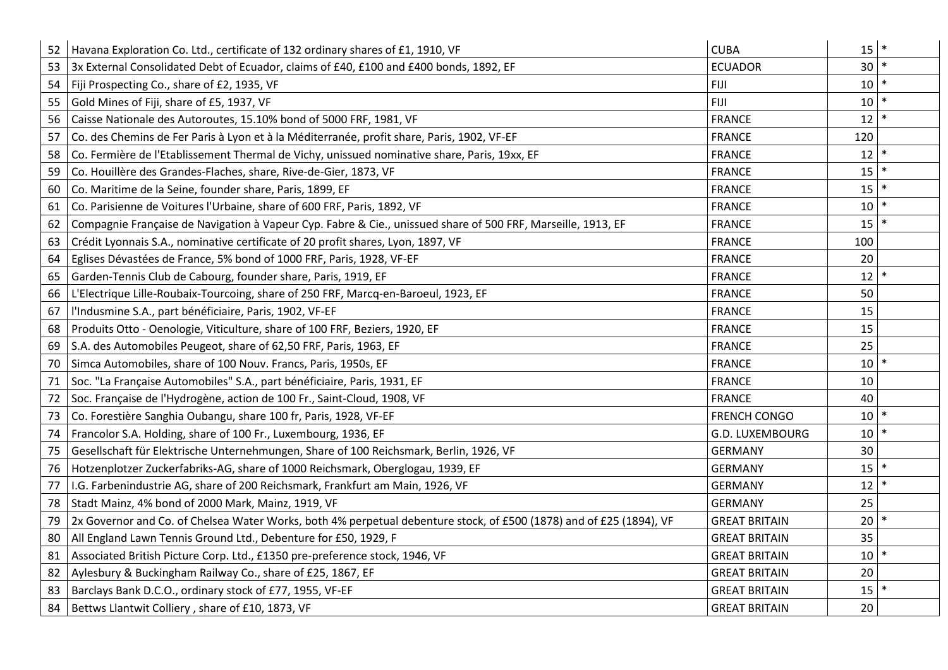| 52 | Havana Exploration Co. Ltd., certificate of 132 ordinary shares of £1, 1910, VF                                     | <b>CUBA</b>          | 15              | $\ast$ |
|----|---------------------------------------------------------------------------------------------------------------------|----------------------|-----------------|--------|
| 53 | 3x External Consolidated Debt of Ecuador, claims of £40, £100 and £400 bonds, 1892, EF                              | <b>ECUADOR</b>       | 30 <sup>1</sup> | $\ast$ |
| 54 | Fiji Prospecting Co., share of £2, 1935, VF                                                                         | <b>FIJI</b>          | 10              |        |
| 55 | Gold Mines of Fiji, share of £5, 1937, VF                                                                           | <b>FIJI</b>          | 10              |        |
| 56 | Caisse Nationale des Autoroutes, 15.10% bond of 5000 FRF, 1981, VF                                                  | <b>FRANCE</b>        | 12              |        |
| 57 | Co. des Chemins de Fer Paris à Lyon et à la Méditerranée, profit share, Paris, 1902, VF-EF                          | <b>FRANCE</b>        | 120             |        |
| 58 | Co. Fermière de l'Etablissement Thermal de Vichy, unissued nominative share, Paris, 19xx, EF                        | <b>FRANCE</b>        | 12              |        |
| 59 | Co. Houillère des Grandes-Flaches, share, Rive-de-Gier, 1873, VF                                                    | <b>FRANCE</b>        | 15              |        |
| 60 | Co. Maritime de la Seine, founder share, Paris, 1899, EF                                                            | <b>FRANCE</b>        | 15              |        |
| 61 | Co. Parisienne de Voitures l'Urbaine, share of 600 FRF, Paris, 1892, VF                                             | <b>FRANCE</b>        | 10              |        |
| 62 | Compagnie Française de Navigation à Vapeur Cyp. Fabre & Cie., unissued share of 500 FRF, Marseille, 1913, EF        | <b>FRANCE</b>        | 15              |        |
| 63 | Crédit Lyonnais S.A., nominative certificate of 20 profit shares, Lyon, 1897, VF                                    | <b>FRANCE</b>        | 100             |        |
| 64 | Eglises Dévastées de France, 5% bond of 1000 FRF, Paris, 1928, VF-EF                                                | <b>FRANCE</b>        | 20              |        |
| 65 | Garden-Tennis Club de Cabourg, founder share, Paris, 1919, EF                                                       | <b>FRANCE</b>        | 12              | $\ast$ |
| 66 | L'Electrique Lille-Roubaix-Tourcoing, share of 250 FRF, Marcq-en-Baroeul, 1923, EF                                  | <b>FRANCE</b>        | 50              |        |
| 67 | l'Indusmine S.A., part bénéficiaire, Paris, 1902, VF-EF                                                             | <b>FRANCE</b>        | 15              |        |
| 68 | Produits Otto - Oenologie, Viticulture, share of 100 FRF, Beziers, 1920, EF                                         | <b>FRANCE</b>        | 15              |        |
| 69 | S.A. des Automobiles Peugeot, share of 62,50 FRF, Paris, 1963, EF                                                   | <b>FRANCE</b>        | 25              |        |
| 70 | Simca Automobiles, share of 100 Nouv. Francs, Paris, 1950s, EF                                                      | <b>FRANCE</b>        | 10 <sup>1</sup> |        |
| 71 | Soc. "La Française Automobiles" S.A., part bénéficiaire, Paris, 1931, EF                                            | <b>FRANCE</b>        | 10              |        |
| 72 | Soc. Française de l'Hydrogène, action de 100 Fr., Saint-Cloud, 1908, VF                                             | <b>FRANCE</b>        | 40              |        |
| 73 | Co. Forestière Sanghia Oubangu, share 100 fr, Paris, 1928, VF-EF                                                    | <b>FRENCH CONGO</b>  | 10              |        |
| 74 | Francolor S.A. Holding, share of 100 Fr., Luxembourg, 1936, EF                                                      | G.D. LUXEMBOURG      | 10              |        |
| 75 | Gesellschaft für Elektrische Unternehmungen, Share of 100 Reichsmark, Berlin, 1926, VF                              | <b>GERMANY</b>       | 30              |        |
| 76 | Hotzenplotzer Zuckerfabriks-AG, share of 1000 Reichsmark, Oberglogau, 1939, EF                                      | <b>GERMANY</b>       | 15              |        |
| 77 | I.G. Farbenindustrie AG, share of 200 Reichsmark, Frankfurt am Main, 1926, VF                                       | <b>GERMANY</b>       | 12              | $\ast$ |
| 78 | Stadt Mainz, 4% bond of 2000 Mark, Mainz, 1919, VF                                                                  | <b>GERMANY</b>       | 25              |        |
| 79 | 2x Governor and Co. of Chelsea Water Works, both 4% perpetual debenture stock, of £500 (1878) and of £25 (1894), VF | <b>GREAT BRITAIN</b> | 20              |        |
| 80 | All England Lawn Tennis Ground Ltd., Debenture for £50, 1929, F                                                     | <b>GREAT BRITAIN</b> | 35              |        |
| 81 | Associated British Picture Corp. Ltd., £1350 pre-preference stock, 1946, VF                                         | <b>GREAT BRITAIN</b> | 10              |        |
| 82 | Aylesbury & Buckingham Railway Co., share of £25, 1867, EF                                                          | <b>GREAT BRITAIN</b> | 20              |        |
| 83 | Barclays Bank D.C.O., ordinary stock of £77, 1955, VF-EF                                                            | <b>GREAT BRITAIN</b> | 15              |        |
| 84 | Bettws Llantwit Colliery, share of £10, 1873, VF                                                                    | <b>GREAT BRITAIN</b> | 20              |        |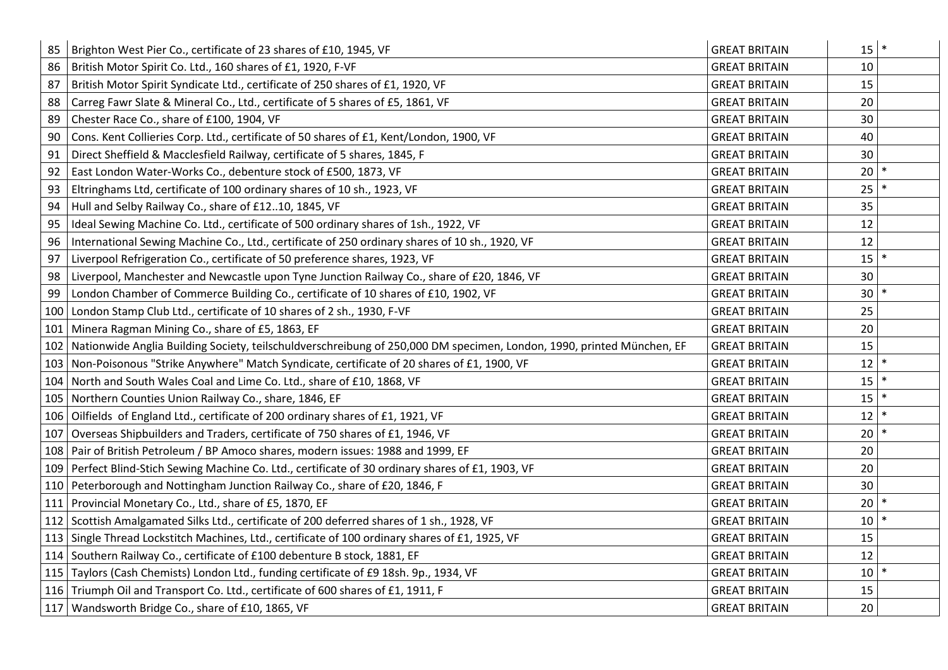| 85  | Brighton West Pier Co., certificate of 23 shares of £10, 1945, VF                                                           | <b>GREAT BRITAIN</b> | $15$ *          |  |
|-----|-----------------------------------------------------------------------------------------------------------------------------|----------------------|-----------------|--|
| 86  | British Motor Spirit Co. Ltd., 160 shares of £1, 1920, F-VF                                                                 | <b>GREAT BRITAIN</b> | 10              |  |
| 87  | British Motor Spirit Syndicate Ltd., certificate of 250 shares of £1, 1920, VF                                              | <b>GREAT BRITAIN</b> | 15              |  |
| 88  | Carreg Fawr Slate & Mineral Co., Ltd., certificate of 5 shares of £5, 1861, VF                                              | <b>GREAT BRITAIN</b> | 20              |  |
| 89  | Chester Race Co., share of £100, 1904, VF                                                                                   | <b>GREAT BRITAIN</b> | 30              |  |
| 90  | Cons. Kent Collieries Corp. Ltd., certificate of 50 shares of £1, Kent/London, 1900, VF                                     | <b>GREAT BRITAIN</b> | 40              |  |
| 91  | Direct Sheffield & Macclesfield Railway, certificate of 5 shares, 1845, F                                                   | <b>GREAT BRITAIN</b> | 30              |  |
| 92  | East London Water-Works Co., debenture stock of £500, 1873, VF                                                              | <b>GREAT BRITAIN</b> | 20              |  |
| 93  | Eltringhams Ltd, certificate of 100 ordinary shares of 10 sh., 1923, VF                                                     | <b>GREAT BRITAIN</b> | 25              |  |
| 94  | Hull and Selby Railway Co., share of £1210, 1845, VF                                                                        | <b>GREAT BRITAIN</b> | 35              |  |
| 95  | Ideal Sewing Machine Co. Ltd., certificate of 500 ordinary shares of 1sh., 1922, VF                                         | <b>GREAT BRITAIN</b> | 12              |  |
| 96  | International Sewing Machine Co., Ltd., certificate of 250 ordinary shares of 10 sh., 1920, VF                              | <b>GREAT BRITAIN</b> | 12              |  |
| 97  | Liverpool Refrigeration Co., certificate of 50 preference shares, 1923, VF                                                  | <b>GREAT BRITAIN</b> | $15$ $*$        |  |
| 98  | Liverpool, Manchester and Newcastle upon Tyne Junction Railway Co., share of £20, 1846, VF                                  | <b>GREAT BRITAIN</b> | 30              |  |
| 99  | London Chamber of Commerce Building Co., certificate of 10 shares of £10, 1902, VF                                          | <b>GREAT BRITAIN</b> | $30$ $*$        |  |
|     | 100 London Stamp Club Ltd., certificate of 10 shares of 2 sh., 1930, F-VF                                                   | <b>GREAT BRITAIN</b> | 25              |  |
| 101 | Minera Ragman Mining Co., share of £5, 1863, EF                                                                             | <b>GREAT BRITAIN</b> | 20              |  |
|     | 102   Nationwide Anglia Building Society, teilschuldverschreibung of 250,000 DM specimen, London, 1990, printed München, EF | <b>GREAT BRITAIN</b> | 15              |  |
|     | 103 Non-Poisonous "Strike Anywhere" Match Syndicate, certificate of 20 shares of £1, 1900, VF                               | <b>GREAT BRITAIN</b> | 12              |  |
|     | 104 North and South Wales Coal and Lime Co. Ltd., share of £10, 1868, VF                                                    | <b>GREAT BRITAIN</b> | 15              |  |
|     | 105 Northern Counties Union Railway Co., share, 1846, EF                                                                    | <b>GREAT BRITAIN</b> | 15              |  |
|     | 106 Oilfields of England Ltd., certificate of 200 ordinary shares of £1, 1921, VF                                           | <b>GREAT BRITAIN</b> | 12              |  |
|     | 107 Overseas Shipbuilders and Traders, certificate of 750 shares of £1, 1946, VF                                            | <b>GREAT BRITAIN</b> | 20 <sup>°</sup> |  |
|     | 108 Pair of British Petroleum / BP Amoco shares, modern issues: 1988 and 1999, EF                                           | <b>GREAT BRITAIN</b> | 20              |  |
|     | 109   Perfect Blind-Stich Sewing Machine Co. Ltd., certificate of 30 ordinary shares of £1, 1903, VF                        | <b>GREAT BRITAIN</b> | 20              |  |
|     | 110 Peterborough and Nottingham Junction Railway Co., share of £20, 1846, F                                                 | <b>GREAT BRITAIN</b> | 30              |  |
|     | 111 Provincial Monetary Co., Ltd., share of £5, 1870, EF                                                                    | <b>GREAT BRITAIN</b> | 20              |  |
|     | 112 Scottish Amalgamated Silks Ltd., certificate of 200 deferred shares of 1 sh., 1928, VF                                  | <b>GREAT BRITAIN</b> | 10              |  |
|     | 113 Single Thread Lockstitch Machines, Ltd., certificate of 100 ordinary shares of £1, 1925, VF                             | <b>GREAT BRITAIN</b> | 15              |  |
|     | 114 Southern Railway Co., certificate of £100 debenture B stock, 1881, EF                                                   | <b>GREAT BRITAIN</b> | 12              |  |
|     | 115   Taylors (Cash Chemists) London Ltd., funding certificate of £9 18sh. 9p., 1934, VF                                    | <b>GREAT BRITAIN</b> | 10 <sup>1</sup> |  |
|     | 116 Triumph Oil and Transport Co. Ltd., certificate of 600 shares of £1, 1911, F                                            | <b>GREAT BRITAIN</b> | 15              |  |
|     | 117   Wandsworth Bridge Co., share of £10, 1865, VF                                                                         | <b>GREAT BRITAIN</b> | 20              |  |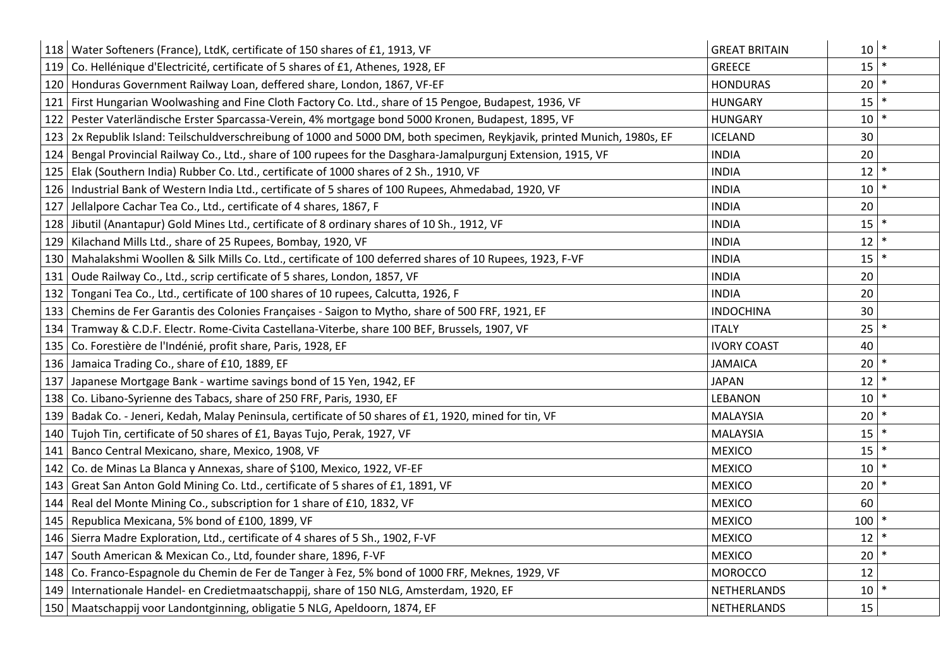|     | 118   Water Softeners (France), LtdK, certificate of 150 shares of £1, 1913, VF                                          | <b>GREAT BRITAIN</b> | $10$ $*$        |
|-----|--------------------------------------------------------------------------------------------------------------------------|----------------------|-----------------|
|     | 119 Co. Hellénique d'Electricité, certificate of 5 shares of £1, Athenes, 1928, EF                                       | <b>GREECE</b>        | $15$ *          |
|     | 120 Honduras Government Railway Loan, deffered share, London, 1867, VF-EF                                                | <b>HONDURAS</b>      | 20 <sub>1</sub> |
|     | 121 First Hungarian Woolwashing and Fine Cloth Factory Co. Ltd., share of 15 Pengoe, Budapest, 1936, VF                  | <b>HUNGARY</b>       | 15              |
|     | 122 Pester Vaterländische Erster Sparcassa-Verein, 4% mortgage bond 5000 Kronen, Budapest, 1895, VF                      | <b>HUNGARY</b>       | 10 <sup>1</sup> |
|     | 123 2x Republik Island: Teilschuldverschreibung of 1000 and 5000 DM, both specimen, Reykjavik, printed Munich, 1980s, EF | <b>ICELAND</b>       | 30              |
|     | 124   Bengal Provincial Railway Co., Ltd., share of 100 rupees for the Dasghara-Jamalpurgunj Extension, 1915, VF         | <b>INDIA</b>         | 20              |
|     | 125   Elak (Southern India) Rubber Co. Ltd., certificate of 1000 shares of 2 Sh., 1910, VF                               | <b>INDIA</b>         | 12              |
|     | 126   Industrial Bank of Western India Ltd., certificate of 5 shares of 100 Rupees, Ahmedabad, 1920, VF                  | <b>INDIA</b>         | 10              |
| 127 | Jellalpore Cachar Tea Co., Ltd., certificate of 4 shares, 1867, F                                                        | <b>INDIA</b>         | 20              |
|     | 128 Jibutil (Anantapur) Gold Mines Ltd., certificate of 8 ordinary shares of 10 Sh., 1912, VF                            | <b>INDIA</b>         | $15$ $*$        |
|     | 129   Kilachand Mills Ltd., share of 25 Rupees, Bombay, 1920, VF                                                         | <b>INDIA</b>         | 12              |
|     | 130   Mahalakshmi Woollen & Silk Mills Co. Ltd., certificate of 100 deferred shares of 10 Rupees, 1923, F-VF             | <b>INDIA</b>         | $15$ $*$        |
| 131 | Oude Railway Co., Ltd., scrip certificate of 5 shares, London, 1857, VF                                                  | <b>INDIA</b>         | 20              |
|     | 132 Tongani Tea Co., Ltd., certificate of 100 shares of 10 rupees, Calcutta, 1926, F                                     | <b>INDIA</b>         | 20              |
|     | 133   Chemins de Fer Garantis des Colonies Françaises - Saigon to Mytho, share of 500 FRF, 1921, EF                      | <b>INDOCHINA</b>     | 30              |
|     | 134   Tramway & C.D.F. Electr. Rome-Civita Castellana-Viterbe, share 100 BEF, Brussels, 1907, VF                         | <b>ITALY</b>         | $25$ $*$        |
|     | 135   Co. Forestière de l'Indénié, profit share, Paris, 1928, EF                                                         | <b>IVORY COAST</b>   | 40              |
|     | 136 Jamaica Trading Co., share of £10, 1889, EF                                                                          | <b>JAMAICA</b>       | $20$   $*$      |
|     | 137 Japanese Mortgage Bank - wartime savings bond of 15 Yen, 1942, EF                                                    | <b>JAPAN</b>         | 12              |
|     | 138   Co. Libano-Syrienne des Tabacs, share of 250 FRF, Paris, 1930, EF                                                  | <b>LEBANON</b>       | 10              |
|     | 139 Badak Co. - Jeneri, Kedah, Malay Peninsula, certificate of 50 shares of £1, 1920, mined for tin, VF                  | <b>MALAYSIA</b>      | 20              |
|     | 140   Tujoh Tin, certificate of 50 shares of £1, Bayas Tujo, Perak, 1927, VF                                             | <b>MALAYSIA</b>      | 15              |
|     | 141   Banco Central Mexicano, share, Mexico, 1908, VF                                                                    | <b>MEXICO</b>        | 15              |
|     | 142   Co. de Minas La Blanca y Annexas, share of \$100, Mexico, 1922, VF-EF                                              | <b>MEXICO</b>        | 10              |
|     | 143 Great San Anton Gold Mining Co. Ltd., certificate of 5 shares of £1, 1891, VF                                        | <b>MEXICO</b>        | 20              |
|     | 144   Real del Monte Mining Co., subscription for 1 share of £10, 1832, VF                                               | <b>MEXICO</b>        | 60              |
|     | 145 Republica Mexicana, 5% bond of £100, 1899, VF                                                                        | <b>MEXICO</b>        | 100             |
|     | 146   Sierra Madre Exploration, Ltd., certificate of 4 shares of 5 Sh., 1902, F-VF                                       | <b>MEXICO</b>        | 12              |
|     | 147 South American & Mexican Co., Ltd, founder share, 1896, F-VF                                                         | <b>MEXICO</b>        | 20 <sup>°</sup> |
|     | 148 Co. Franco-Espagnole du Chemin de Fer de Tanger à Fez, 5% bond of 1000 FRF, Meknes, 1929, VF                         | <b>MOROCCO</b>       | 12              |
|     | 149   Internationale Handel- en Credietmaatschappij, share of 150 NLG, Amsterdam, 1920, EF                               | NETHERLANDS          | 10              |
|     | 150   Maatschappij voor Landontginning, obligatie 5 NLG, Apeldoorn, 1874, EF                                             | NETHERLANDS          | 15              |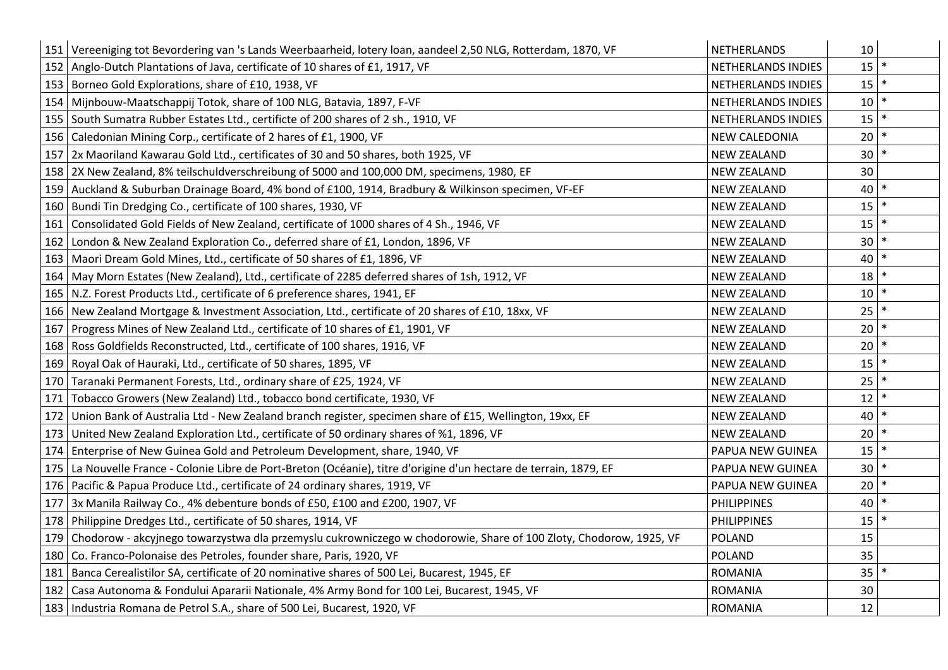|     | 151 Vereeniging tot Bevordering van 's Lands Weerbaarheid, lotery loan, aandeel 2,50 NLG, Rotterdam, 1870, VF     | NETHERLANDS          | 10              |        |
|-----|-------------------------------------------------------------------------------------------------------------------|----------------------|-----------------|--------|
|     | 152 Anglo-Dutch Plantations of Java, certificate of 10 shares of £1, 1917, VF                                     | NETHERLANDS INDIES   | 15              | $\ast$ |
|     | 153 Borneo Gold Explorations, share of £10, 1938, VF                                                              | NETHERLANDS INDIES   | 15              |        |
|     | 154   Mijnbouw-Maatschappij Totok, share of 100 NLG, Batavia, 1897, F-VF                                          | NETHERLANDS INDIES   | 10 <sup>1</sup> |        |
| 155 | South Sumatra Rubber Estates Ltd., certificte of 200 shares of 2 sh., 1910, VF                                    | NETHERLANDS INDIES   | 15              |        |
| 156 | Caledonian Mining Corp., certificate of 2 hares of £1, 1900, VF                                                   | <b>NEW CALEDONIA</b> | 20              | $\ast$ |
| 157 | 2x Maoriland Kawarau Gold Ltd., certificates of 30 and 50 shares, both 1925, VF                                   | <b>NEW ZEALAND</b>   | 30              |        |
|     | 158   2X New Zealand, 8% teilschuldverschreibung of 5000 and 100,000 DM, specimens, 1980, EF                      | <b>NEW ZEALAND</b>   | 30              |        |
| 159 | Auckland & Suburban Drainage Board, 4% bond of £100, 1914, Bradbury & Wilkinson specimen, VF-EF                   | <b>NEW ZEALAND</b>   | 40              |        |
|     | 160 Bundi Tin Dredging Co., certificate of 100 shares, 1930, VF                                                   | <b>NEW ZEALAND</b>   | 15              | $\ast$ |
| 161 | Consolidated Gold Fields of New Zealand, certificate of 1000 shares of 4 Sh., 1946, VF                            | <b>NEW ZEALAND</b>   | 15              |        |
| 162 | London & New Zealand Exploration Co., deferred share of £1, London, 1896, VF                                      | <b>NEW ZEALAND</b>   | 30              |        |
|     | 163   Maori Dream Gold Mines, Ltd., certificate of 50 shares of £1, 1896, VF                                      | <b>NEW ZEALAND</b>   | 40              |        |
| 164 | May Morn Estates (New Zealand), Ltd., certificate of 2285 deferred shares of 1sh, 1912, VF                        | <b>NEW ZEALAND</b>   | 18              | $\ast$ |
|     | 165   N.Z. Forest Products Ltd., certificate of 6 preference shares, 1941, EF                                     | <b>NEW ZEALAND</b>   | 10 <sup>1</sup> | $\ast$ |
|     | 166   New Zealand Mortgage & Investment Association, Ltd., certificate of 20 shares of £10, 18xx, VF              | <b>NEW ZEALAND</b>   | 25              |        |
| 167 | Progress Mines of New Zealand Ltd., certificate of 10 shares of £1, 1901, VF                                      | <b>NEW ZEALAND</b>   | 20              |        |
| 168 | Ross Goldfields Reconstructed, Ltd., certificate of 100 shares, 1916, VF                                          | <b>NEW ZEALAND</b>   | 20              | $\ast$ |
|     | 169   Royal Oak of Hauraki, Ltd., certificate of 50 shares, 1895, VF                                              | <b>NEW ZEALAND</b>   | 15              | $\ast$ |
| 170 | Taranaki Permanent Forests, Ltd., ordinary share of £25, 1924, VF                                                 | <b>NEW ZEALAND</b>   | 25              |        |
| 171 | Tobacco Growers (New Zealand) Ltd., tobacco bond certificate, 1930, VF                                            | <b>NEW ZEALAND</b>   | 12              |        |
| 172 | Union Bank of Australia Ltd - New Zealand branch register, specimen share of £15, Wellington, 19xx, EF            | <b>NEW ZEALAND</b>   | 40              | $\ast$ |
| 173 | United New Zealand Exploration Ltd., certificate of 50 ordinary shares of %1, 1896, VF                            | <b>NEW ZEALAND</b>   | 20              | $\ast$ |
| 174 | Enterprise of New Guinea Gold and Petroleum Development, share, 1940, VF                                          | PAPUA NEW GUINEA     | 15              |        |
| 175 | La Nouvelle France - Colonie Libre de Port-Breton (Océanie), titre d'origine d'un hectare de terrain, 1879, EF    | PAPUA NEW GUINEA     | 30              |        |
| 176 | Pacific & Papua Produce Ltd., certificate of 24 ordinary shares, 1919, VF                                         | PAPUA NEW GUINEA     | 20              | $\ast$ |
|     | 177 3x Manila Railway Co., 4% debenture bonds of £50, £100 and £200, 1907, VF                                     | <b>PHILIPPINES</b>   | 40              |        |
| 178 | Philippine Dredges Ltd., certificate of 50 shares, 1914, VF                                                       | <b>PHILIPPINES</b>   | 15              |        |
| 179 | Chodorow - akcyjnego towarzystwa dla przemyslu cukrowniczego w chodorowie, Share of 100 Zloty, Chodorow, 1925, VF | POLAND               | 15              |        |
| 180 | Co. Franco-Polonaise des Petroles, founder share, Paris, 1920, VF                                                 | <b>POLAND</b>        | 35              |        |
|     | 181   Banca Cerealistilor SA, certificate of 20 nominative shares of 500 Lei, Bucarest, 1945, EF                  | <b>ROMANIA</b>       | $35$   $*$      |        |
| 182 | Casa Autonoma & Fondului Apararii Nationale, 4% Army Bond for 100 Lei, Bucarest, 1945, VF                         | <b>ROMANIA</b>       | 30              |        |
|     | 183   Industria Romana de Petrol S.A., share of 500 Lei, Bucarest, 1920, VF                                       | <b>ROMANIA</b>       | 12              |        |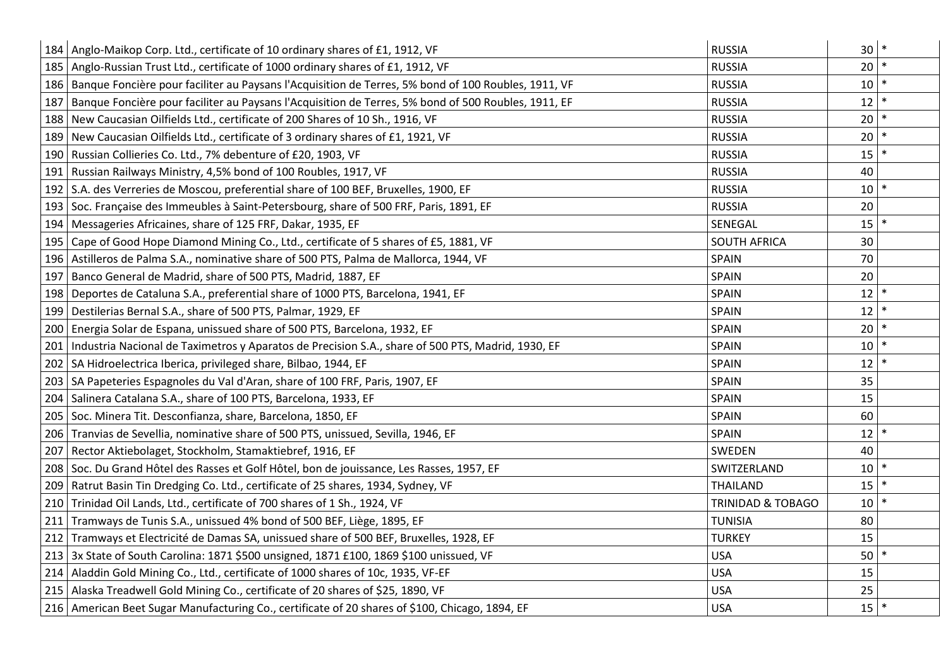|     | 184   Anglo-Maikop Corp. Ltd., certificate of 10 ordinary shares of £1, 1912, VF                        | <b>RUSSIA</b>                | $\ast$<br>30 <sup>°</sup> |
|-----|---------------------------------------------------------------------------------------------------------|------------------------------|---------------------------|
|     | 185   Anglo-Russian Trust Ltd., certificate of 1000 ordinary shares of £1, 1912, VF                     | <b>RUSSIA</b>                | $\ast$<br>20              |
|     | 186 Banque Foncière pour faciliter au Paysans l'Acquisition de Terres, 5% bond of 100 Roubles, 1911, VF | <b>RUSSIA</b>                | 10 <sup>1</sup>           |
|     | 187 Banque Foncière pour faciliter au Paysans l'Acquisition de Terres, 5% bond of 500 Roubles, 1911, EF | <b>RUSSIA</b>                | $\ast$<br>12              |
|     | 188 New Caucasian Oilfields Ltd., certificate of 200 Shares of 10 Sh., 1916, VF                         | <b>RUSSIA</b>                | 20                        |
|     | 189 New Caucasian Oilfields Ltd., certificate of 3 ordinary shares of £1, 1921, VF                      | <b>RUSSIA</b>                | $\ast$<br>20              |
|     | 190   Russian Collieries Co. Ltd., 7% debenture of £20, 1903, VF                                        | <b>RUSSIA</b>                | 15                        |
|     | 191   Russian Railways Ministry, 4,5% bond of 100 Roubles, 1917, VF                                     | <b>RUSSIA</b>                | 40                        |
|     | 192 S.A. des Verreries de Moscou, preferential share of 100 BEF, Bruxelles, 1900, EF                    | <b>RUSSIA</b>                | 10                        |
|     | 193 Soc. Française des Immeubles à Saint-Petersbourg, share of 500 FRF, Paris, 1891, EF                 | <b>RUSSIA</b>                | 20                        |
|     | 194   Messageries Africaines, share of 125 FRF, Dakar, 1935, EF                                         | SENEGAL                      | $15$ $*$                  |
|     | 195 Cape of Good Hope Diamond Mining Co., Ltd., certificate of 5 shares of £5, 1881, VF                 | <b>SOUTH AFRICA</b>          | 30                        |
|     | 196 Astilleros de Palma S.A., nominative share of 500 PTS, Palma de Mallorca, 1944, VF                  | SPAIN                        | 70                        |
| 197 | Banco General de Madrid, share of 500 PTS, Madrid, 1887, EF                                             | SPAIN                        | 20                        |
|     | 198   Deportes de Cataluna S.A., preferential share of 1000 PTS, Barcelona, 1941, EF                    | SPAIN                        | $\ast$<br>12              |
|     | 199   Destilerias Bernal S.A., share of 500 PTS, Palmar, 1929, EF                                       | SPAIN                        | 12                        |
|     | 200   Energia Solar de Espana, unissued share of 500 PTS, Barcelona, 1932, EF                           | SPAIN                        | 20                        |
| 201 | Industria Nacional de Taximetros y Aparatos de Precision S.A., share of 500 PTS, Madrid, 1930, EF       | SPAIN                        | 10                        |
|     | 202   SA Hidroelectrica Iberica, privileged share, Bilbao, 1944, EF                                     | SPAIN                        | $\ast$<br>12              |
|     | 203   SA Papeteries Espagnoles du Val d'Aran, share of 100 FRF, Paris, 1907, EF                         | SPAIN                        | 35                        |
|     | 204   Salinera Catalana S.A., share of 100 PTS, Barcelona, 1933, EF                                     | SPAIN                        | 15                        |
|     | 205   Soc. Minera Tit. Desconfianza, share, Barcelona, 1850, EF                                         | SPAIN                        | 60                        |
|     | 206 Tranvias de Sevellia, nominative share of 500 PTS, unissued, Sevilla, 1946, EF                      | SPAIN                        | $\ast$<br>12              |
| 207 | Rector Aktiebolaget, Stockholm, Stamaktiebref, 1916, EF                                                 | SWEDEN                       | 40                        |
|     | 208   Soc. Du Grand Hôtel des Rasses et Golf Hôtel, bon de jouissance, Les Rasses, 1957, EF             | SWITZERLAND                  | 10                        |
|     | 209   Ratrut Basin Tin Dredging Co. Ltd., certificate of 25 shares, 1934, Sydney, VF                    | <b>THAILAND</b>              | 15                        |
|     | 210 Trinidad Oil Lands, Ltd., certificate of 700 shares of 1 Sh., 1924, VF                              | <b>TRINIDAD &amp; TOBAGO</b> | 10                        |
| 211 | Tramways de Tunis S.A., unissued 4% bond of 500 BEF, Liège, 1895, EF                                    | <b>TUNISIA</b>               | 80                        |
| 212 | Tramways et Electricité de Damas SA, unissued share of 500 BEF, Bruxelles, 1928, EF                     | <b>TURKEY</b>                | 15                        |
|     | 213   3x State of South Carolina: 1871 \$500 unsigned, 1871 £100, 1869 \$100 unissued, VF               | <b>USA</b>                   | 50                        |
|     | 214 Aladdin Gold Mining Co., Ltd., certificate of 1000 shares of 10c, 1935, VF-EF                       | <b>USA</b>                   | 15                        |
|     | 215 Alaska Treadwell Gold Mining Co., certificate of 20 shares of \$25, 1890, VF                        | <b>USA</b>                   | 25                        |
|     | 216   American Beet Sugar Manufacturing Co., certificate of 20 shares of \$100, Chicago, 1894, EF       | <b>USA</b>                   | $15$ *                    |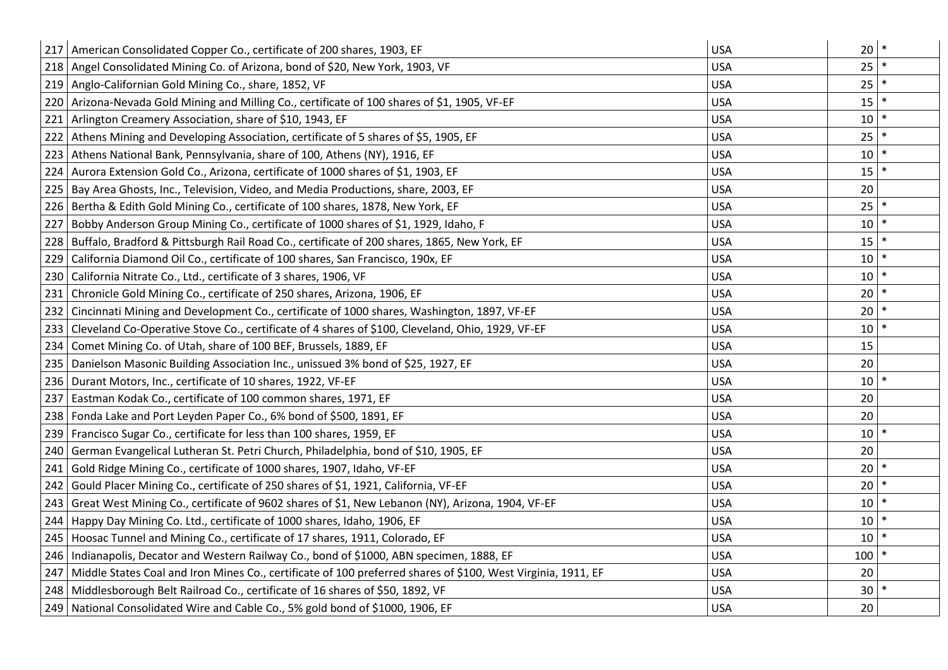|     | 217   American Consolidated Copper Co., certificate of 200 shares, 1903, EF                                  | <b>USA</b> | 20              | $\ast$ |
|-----|--------------------------------------------------------------------------------------------------------------|------------|-----------------|--------|
|     | 218   Angel Consolidated Mining Co. of Arizona, bond of \$20, New York, 1903, VF                             | <b>USA</b> | 25              | $\ast$ |
|     | 219   Anglo-Californian Gold Mining Co., share, 1852, VF                                                     | <b>USA</b> | 25              |        |
| 220 | Arizona-Nevada Gold Mining and Milling Co., certificate of 100 shares of \$1, 1905, VF-EF                    | <b>USA</b> | 15              |        |
| 221 | Arlington Creamery Association, share of \$10, 1943, EF                                                      | <b>USA</b> | 10              |        |
| 222 | Athens Mining and Developing Association, certificate of 5 shares of \$5, 1905, EF                           | <b>USA</b> | 25              |        |
| 223 | Athens National Bank, Pennsylvania, share of 100, Athens (NY), 1916, EF                                      | <b>USA</b> | 10              |        |
| 224 | Aurora Extension Gold Co., Arizona, certificate of 1000 shares of \$1, 1903, EF                              | <b>USA</b> | 15              |        |
| 225 | Bay Area Ghosts, Inc., Television, Video, and Media Productions, share, 2003, EF                             | <b>USA</b> | 20              |        |
| 226 | Bertha & Edith Gold Mining Co., certificate of 100 shares, 1878, New York, EF                                | <b>USA</b> | 25              |        |
| 227 | Bobby Anderson Group Mining Co., certificate of 1000 shares of \$1, 1929, Idaho, F                           | <b>USA</b> | 10              |        |
| 228 | Buffalo, Bradford & Pittsburgh Rail Road Co., certificate of 200 shares, 1865, New York, EF                  | <b>USA</b> | 15              |        |
| 229 | California Diamond Oil Co., certificate of 100 shares, San Francisco, 190x, EF                               | <b>USA</b> | 10              |        |
| 230 | California Nitrate Co., Ltd., certificate of 3 shares, 1906, VF                                              | <b>USA</b> | 10              |        |
| 231 | Chronicle Gold Mining Co., certificate of 250 shares, Arizona, 1906, EF                                      | <b>USA</b> | 20              |        |
| 232 | Cincinnati Mining and Development Co., certificate of 1000 shares, Washington, 1897, VF-EF                   | <b>USA</b> | 20              |        |
| 233 | Cleveland Co-Operative Stove Co., certificate of 4 shares of \$100, Cleveland, Ohio, 1929, VF-EF             | <b>USA</b> | 10 <sup>°</sup> |        |
| 234 | Comet Mining Co. of Utah, share of 100 BEF, Brussels, 1889, EF                                               | <b>USA</b> | 15              |        |
| 235 | Danielson Masonic Building Association Inc., unissued 3% bond of \$25, 1927, EF                              | <b>USA</b> | 20              |        |
| 236 | Durant Motors, Inc., certificate of 10 shares, 1922, VF-EF                                                   | <b>USA</b> | 10              |        |
| 237 | Eastman Kodak Co., certificate of 100 common shares, 1971, EF                                                | <b>USA</b> | 20              |        |
| 238 | Fonda Lake and Port Leyden Paper Co., 6% bond of \$500, 1891, EF                                             | <b>USA</b> | 20              |        |
| 239 | Francisco Sugar Co., certificate for less than 100 shares, 1959, EF                                          | <b>USA</b> | 10              |        |
| 240 | German Evangelical Lutheran St. Petri Church, Philadelphia, bond of \$10, 1905, EF                           | <b>USA</b> | 20              |        |
| 241 | Gold Ridge Mining Co., certificate of 1000 shares, 1907, Idaho, VF-EF                                        | <b>USA</b> | 20              |        |
| 242 | Gould Placer Mining Co., certificate of 250 shares of \$1, 1921, California, VF-EF                           | <b>USA</b> | 20              |        |
| 243 | Great West Mining Co., certificate of 9602 shares of \$1, New Lebanon (NY), Arizona, 1904, VF-EF             | <b>USA</b> | 10              |        |
| 244 | Happy Day Mining Co. Ltd., certificate of 1000 shares, Idaho, 1906, EF                                       | <b>USA</b> | 10              |        |
| 245 | Hoosac Tunnel and Mining Co., certificate of 17 shares, 1911, Colorado, EF                                   | <b>USA</b> | 10              |        |
| 246 | Indianapolis, Decator and Western Railway Co., bond of \$1000, ABN specimen, 1888, EF                        | <b>USA</b> | 100             |        |
| 247 | Middle States Coal and Iron Mines Co., certificate of 100 preferred shares of \$100, West Virginia, 1911, EF | <b>USA</b> | 20              |        |
|     | 248   Middlesborough Belt Railroad Co., certificate of 16 shares of \$50, 1892, VF                           | <b>USA</b> | 30              |        |
|     | 249   National Consolidated Wire and Cable Co., 5% gold bond of \$1000, 1906, EF                             | <b>USA</b> | 20              |        |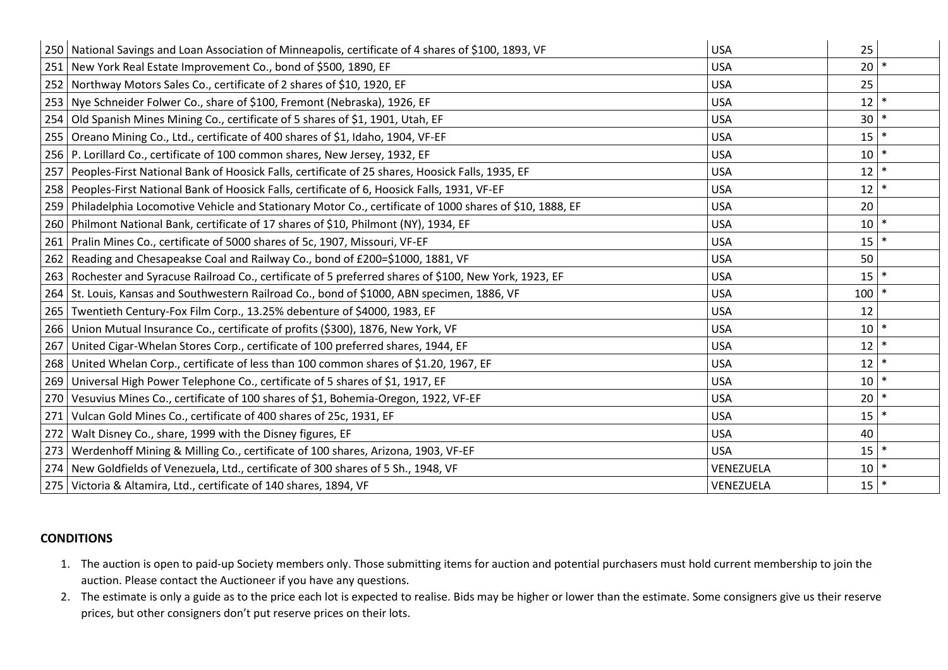|     | 250 National Savings and Loan Association of Minneapolis, certificate of 4 shares of \$100, 1893, VF         | <b>USA</b> | 25              |        |
|-----|--------------------------------------------------------------------------------------------------------------|------------|-----------------|--------|
|     | 251   New York Real Estate Improvement Co., bond of \$500, 1890, EF                                          | <b>USA</b> | 20              | $\ast$ |
|     | 252 Northway Motors Sales Co., certificate of 2 shares of \$10, 1920, EF                                     | <b>USA</b> | 25              |        |
|     | 253   Nye Schneider Folwer Co., share of \$100, Fremont (Nebraska), 1926, EF                                 | <b>USA</b> | $12$ $*$        |        |
|     | 254 Old Spanish Mines Mining Co., certificate of 5 shares of \$1, 1901, Utah, EF                             | <b>USA</b> | 30              | $\ast$ |
|     | 255   Oreano Mining Co., Ltd., certificate of 400 shares of \$1, Idaho, 1904, VF-EF                          | <b>USA</b> | 15              | $\ast$ |
|     | 256   P. Lorillard Co., certificate of 100 common shares, New Jersey, 1932, EF                               | <b>USA</b> | 10              | $\ast$ |
|     | 257   Peoples-First National Bank of Hoosick Falls, certificate of 25 shares, Hoosick Falls, 1935, EF        | <b>USA</b> | $12$ $*$        |        |
|     | 258   Peoples-First National Bank of Hoosick Falls, certificate of 6, Hoosick Falls, 1931, VF-EF             | <b>USA</b> | $12$ *          |        |
|     | 259   Philadelphia Locomotive Vehicle and Stationary Motor Co., certificate of 1000 shares of \$10, 1888, EF | <b>USA</b> | 20              |        |
|     | 260 Philmont National Bank, certificate of 17 shares of \$10, Philmont (NY), 1934, EF                        | <b>USA</b> | $10$ $*$        |        |
|     | 261   Pralin Mines Co., certificate of 5000 shares of 5c, 1907, Missouri, VF-EF                              | <b>USA</b> | $15$ $*$        |        |
|     | 262   Reading and Chesapeakse Coal and Railway Co., bond of £200=\$1000, 1881, VF                            | <b>USA</b> | 50              |        |
|     | 263 Rochester and Syracuse Railroad Co., certificate of 5 preferred shares of \$100, New York, 1923, EF      | <b>USA</b> | 15              | $\ast$ |
|     | 264 St. Louis, Kansas and Southwestern Railroad Co., bond of \$1000, ABN specimen, 1886, VF                  | <b>USA</b> | 100             | $\ast$ |
|     | 265 Twentieth Century-Fox Film Corp., 13.25% debenture of \$4000, 1983, EF                                   | <b>USA</b> | 12              |        |
|     | 266 Union Mutual Insurance Co., certificate of profits (\$300), 1876, New York, VF                           | <b>USA</b> | $10$ $*$        |        |
| 267 | United Cigar-Whelan Stores Corp., certificate of 100 preferred shares, 1944, EF                              | <b>USA</b> | 12              | $\ast$ |
|     | 268 United Whelan Corp., certificate of less than 100 common shares of \$1.20, 1967, EF                      | <b>USA</b> | $12$ $*$        |        |
| 269 | Universal High Power Telephone Co., certificate of 5 shares of \$1, 1917, EF                                 | <b>USA</b> | $10$ $*$        |        |
| 270 | Vesuvius Mines Co., certificate of 100 shares of \$1, Bohemia-Oregon, 1922, VF-EF                            | <b>USA</b> | 20 <sup>°</sup> | $\ast$ |
| 271 | Vulcan Gold Mines Co., certificate of 400 shares of 25c, 1931, EF                                            | <b>USA</b> | 15              | $\ast$ |
| 272 | Walt Disney Co., share, 1999 with the Disney figures, EF                                                     | <b>USA</b> | 40              |        |
|     | 273   Werdenhoff Mining & Milling Co., certificate of 100 shares, Arizona, 1903, VF-EF                       | <b>USA</b> | $15$ $*$        |        |
|     | 274 New Goldfields of Venezuela, Ltd., certificate of 300 shares of 5 Sh., 1948, VF                          | VENEZUELA  | $10$ $*$        |        |
|     | 275   Victoria & Altamira, Ltd., certificate of 140 shares, 1894, VF                                         | VENEZUELA  | $15$ $*$        |        |

## **CONDITIONS**

- 1. The auction is open to paid-up Society members only. Those submitting items for auction and potential purchasers must hold current membership to join the auction. Please contact the Auctioneer if you have any questions.
- 2. The estimate is only a guide as to the price each lot is expected to realise. Bids may be higher or lower than the estimate. Some consigners give us their reserve prices, but other consigners don't put reserve prices on their lots.